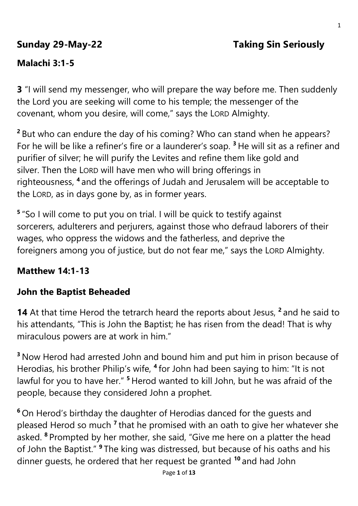# **Sunday 29-May-22 Taking Sin Seriously**

# **Malachi 3:1-5**

**3** "I will send my messenger, who will prepare the way before me. Then suddenly the Lord you are seeking will come to his temple; the messenger of the covenant, whom you desire, will come," says the LORD Almighty.

**<sup>2</sup>** But who can endure the day of his coming? Who can stand when he appears? For he will be like a refiner's fire or a launderer's soap. **<sup>3</sup>** He will sit as a refiner and purifier of silver; he will purify the Levites and refine them like gold and silver. Then the LORD will have men who will bring offerings in righteousness, **<sup>4</sup>** and the offerings of Judah and Jerusalem will be acceptable to the LORD, as in days gone by, as in former years.

**5** "So I will come to put you on trial. I will be quick to testify against sorcerers, adulterers and perjurers, against those who defraud laborers of their wages, who oppress the widows and the fatherless, and deprive the foreigners among you of justice, but do not fear me," says the LORD Almighty.

## **Matthew 14:1-13**

# **John the Baptist Beheaded**

14 At that time Herod the tetrarch heard the reports about Jesus, <sup>2</sup> and he said to his attendants, "This is John the Baptist; he has risen from the dead! That is why miraculous powers are at work in him."

**<sup>3</sup>** Now Herod had arrested John and bound him and put him in prison because of Herodias, his brother Philip's wife, **<sup>4</sup>** for John had been saying to him: "It is not lawful for you to have her." **<sup>5</sup>** Herod wanted to kill John, but he was afraid of the people, because they considered John a prophet.

**<sup>6</sup>** On Herod's birthday the daughter of Herodias danced for the guests and pleased Herod so much <sup>7</sup> that he promised with an oath to give her whatever she asked. **<sup>8</sup>** Prompted by her mother, she said, "Give me here on a platter the head of John the Baptist." **<sup>9</sup>** The king was distressed, but because of his oaths and his dinner guests, he ordered that her request be granted **<sup>10</sup>** and had John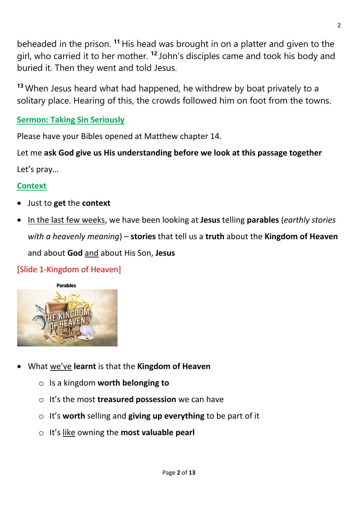beheaded in the prison. **<sup>11</sup>** His head was brought in on a platter and given to the girl, who carried it to her mother. **<sup>12</sup>** John's disciples came and took his body and buried it. Then they went and told Jesus.

**<sup>13</sup>** When Jesus heard what had happened, he withdrew by boat privately to a solitary place. Hearing of this, the crowds followed him on foot from the towns.

## **Sermon: Taking Sin Seriously**

Please have your Bibles opened at Matthew chapter 14.

Let me **ask God give us His understanding before we look at this passage together** Let's pray…

#### **Context**

- Just to **get** the **context**
- In the last few weeks, we have been looking at **Jesus** telling **parables** (*earthly stories with a heavenly meaning*) – **stories** that tell us a **truth** about the **Kingdom of Heaven** and about **God** and about His Son, **Jesus**

#### [Slide 1-Kingdom of Heaven]



- What we've **learnt** is that the **Kingdom of Heaven**
	- o Is a kingdom **worth belonging to**
	- o It's the most **treasured possession** we can have
	- o It's **worth** selling and **giving up everything** to be part of it
	- o It's like owning the **most valuable pearl**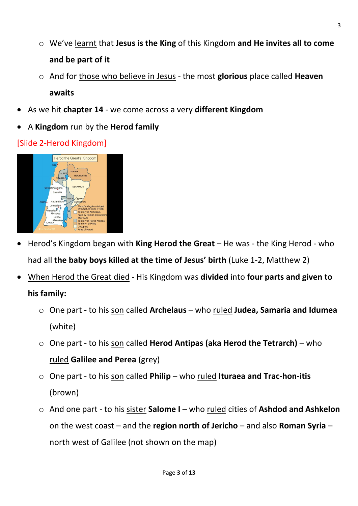- o We've learnt that **Jesus is the King** of this Kingdom **and He invites all to come and be part of it**
- o And for those who believe in Jesus the most **glorious** place called **Heaven awaits**
- As we hit **chapter 14** we come across a very **different Kingdom**
- A **Kingdom** run by the **Herod family**

## [Slide 2-Herod Kingdom]



- Herod's Kingdom began with **King Herod the Great** He was the King Herod who had all **the baby boys killed at the time of Jesus' birth** (Luke 1-2, Matthew 2)
- When Herod the Great died His Kingdom was **divided** into **four parts and given to his family:**
	- o One part to his son called **Archelaus** who ruled **Judea, Samaria and Idumea** (white)
	- o One part to his son called **Herod Antipas (aka Herod the Tetrarch)** who ruled **Galilee and Perea** (grey)
	- o One part to his son called **Philip** who ruled **Ituraea and Trac-hon-itis** (brown)
	- o And one part to his sister **Salome I** who ruled cities of **Ashdod and Ashkelon** on the west coast – and the **region north of Jericho** – and also **Roman Syria** – north west of Galilee (not shown on the map)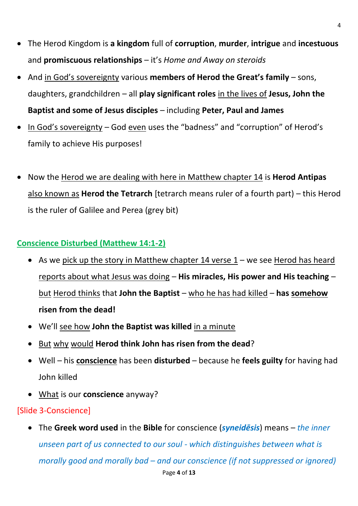- The Herod Kingdom is **a kingdom** full of **corruption**, **murder**, **intrigue** and **incestuous** and **promiscuous relationships** – it's *Home and Away on steroids*
- And in God's sovereignty various **members of Herod the Great's family** sons, daughters, grandchildren – all **play significant roles** in the lives of **Jesus, John the Baptist and some of Jesus disciples** – including **Peter, Paul and James**
- In God's sovereignty God even uses the "badness" and "corruption" of Herod's family to achieve His purposes!
- Now the Herod we are dealing with here in Matthew chapter 14 is **Herod Antipas** also known as **Herod the Tetrarch** [tetrarch means ruler of a fourth part) – this Herod is the ruler of Galilee and Perea (grey bit)

## **Conscience Disturbed (Matthew 14:1-2)**

- As we pick up the story in Matthew chapter 14 verse  $1 -$  we see Herod has heard reports about what Jesus was doing – **His miracles, His power and His teaching** – but Herod thinks that **John the Baptist** – who he has had killed – **has somehow risen from the dead!**
- We'll see how **John the Baptist was killed** in a minute
- But why would **Herod think John has risen from the dead**?
- Well his **conscience** has been **disturbed** because he **feels guilty** for having had John killed
- What is our **conscience** anyway?

## [Slide 3-Conscience]

• The **Greek word used** in the **Bible** for conscience (*syneidēsis*) means – *the inner unseen part of us connected to our soul - which distinguishes between what is morally good and morally bad – and our conscience (if not suppressed or ignored)*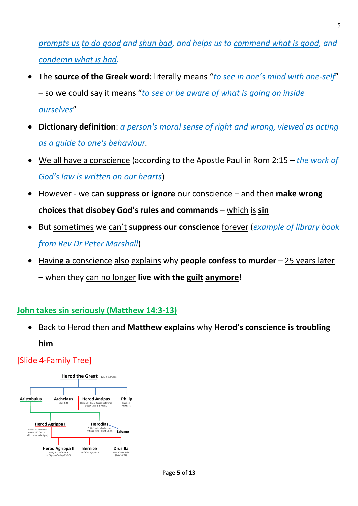*prompts us to do good and shun bad, and helps us to commend what is good, and condemn what is bad.*

- The **source of the Greek word**: literally means "*to see in one's mind with one-self*" – so we could say it means "*to see or be aware of what is going on inside ourselves*"
- **Dictionary definition**: *a person's moral sense of right and wrong, viewed as acting as a guide to one's behaviour.*
- We all have a conscience (according to the Apostle Paul in Rom 2:15 *the work of God's law is written on our hearts*)
- However we can **suppress or ignore** our conscience and then **make wrong choices that disobey God's rules and commands** – which is sin
- But sometimes we can't **suppress our conscience** forever (*example of library book from Rev Dr Peter Marshall*)
- Having a conscience also explains why **people confess to murder** 25 years later – when they can no longer **live with the guilt anymore**!

#### **John takes sin seriously (Matthew 14:3-13)**

• Back to Herod then and Matthew explains why Herod's conscience is troubling **him**

#### [Slide 4-Family Tree]

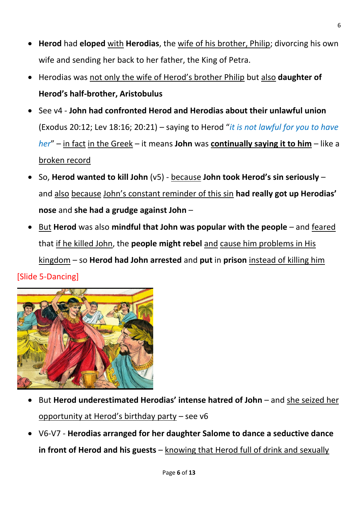- **Herod** had **eloped** with **Herodias**, the wife of his brother, Philip; divorcing his own wife and sending her back to her father, the King of Petra.
- Herodias was not only the wife of Herod's brother Philip but also **daughter of Herod's half-brother, Aristobulus**
- See v4 **John had confronted Herod and Herodias about their unlawful union** (Exodus 20:12; Lev 18:16; 20:21) – saying to Herod "*it is not lawful for you to have her*" – in fact in the Greek – it means **John** was **continually saying it to him** – like a broken record
- 60. Herod wanted to kill John (v5) because John took Herod's sin seriously and also because John's constant reminder of this sin had really got up Herodias' **nose** and **she had a grudge against John** –
- But **Herod** was also **mindful that John was popular with the people** and feared that if he killed John, the **people might rebel** and cause him problems in His kingdom – so **Herod had John arrested** and **put** in **prison** instead of killing him [Slide 5-Dancing]



- But Herod underestimated Herodias' intense hatred of John and she seized her opportunity at Herod's birthday party – see v6
- V6-V7 **Herodias arranged for her daughter Salome to dance a seductive dance in front of Herod and his guests** – knowing that Herod full of drink and sexually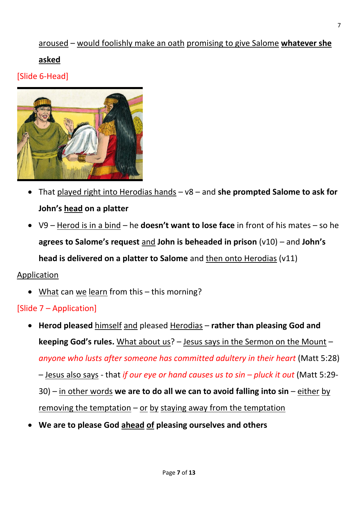#### aroused – would foolishly make an oath promising to give Salome **whatever she**

#### **asked**

[Slide 6-Head]



- That played right into Herodias hands v8 and **she prompted Salome to ask for John's head on a platter**
- V9 Herod is in a bind he **doesn't want to lose face** in front of his mates so he  **agrees to Salome's request** and **John is beheaded in prison** ( $v10$ ) – and **John's head is delivered on a platter to Salome** and then onto Herodias (v11)

#### Application

• What can we learn from this – this morning?

#### [Slide 7 – Application]

- **Herod pleased** himself and pleased Herodias **rather than pleasing God and keeping God's rules.** What about us? – Jesus says in the Sermon on the Mount – *anyone who lusts after someone has committed adultery in their heart* (Matt 5:28) – Jesus also says - that *if our eye or hand causes us to sin – pluck it out* (Matt 5:29- 30) – in other words **we are to do all we can to avoid falling into sin** – either by removing the temptation  $-$  or by staying away from the temptation
- **We are to please God ahead of pleasing ourselves and others**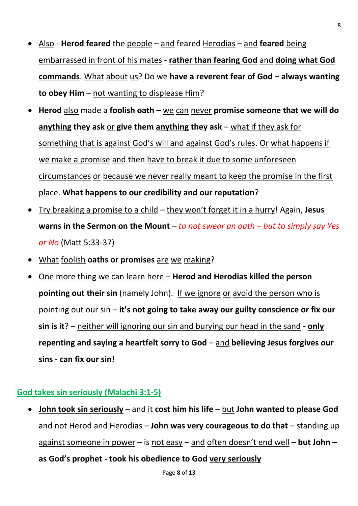- Also **Herod feared** the people and feared Herodias and **feared** being embarrassed in front of his mates - **rather than fearing God** and **doing what God commands**. What about us? Do we **have a reverent fear of God – always wanting to obey Him** – not wanting to displease Him?
- **Herod** also made a **foolish oath** we can never **promise someone that we will do anything they ask** or **give them anything they ask** – what if they ask for something that is against God's will and against God's rules. Or what happens if we make a promise and then have to break it due to some unforeseen circumstances or because we never really meant to keep the promise in the first place. **What happens to our credibility and our reputation**?
- Try breaking a promise to a child they won't forget it in a hurry! Again, **Jesus warns in the Sermon on the Mount** – *to not swear an oath – but to simply say Yes or No* (Matt 5:33-37)
- What foolish **oaths or promises** are we making?
- One more thing we can learn here **Herod and Herodias killed the person pointing out their sin** (namely John). If we ignore or avoid the person who is pointing out our sin – it's not going to take away our guilty conscience or fix our **sin is it**? – neither will ignoring our sin and burying our head in the sand **- only repenting and saying a heartfelt sorry to God** – and **believing Jesus forgives our sins - can fix our sin!**

#### **God takes sin seriously (Malachi 3:1-5)**

• **John took sin seriously** – and it **cost him his life** – but **John wanted to please God** and not Herod and Herodias – **John was very courageous to do that** – standing up against someone in power – is not easy – and often doesn't end well – **but John – God' p oph t - took his obedience to God very seriously**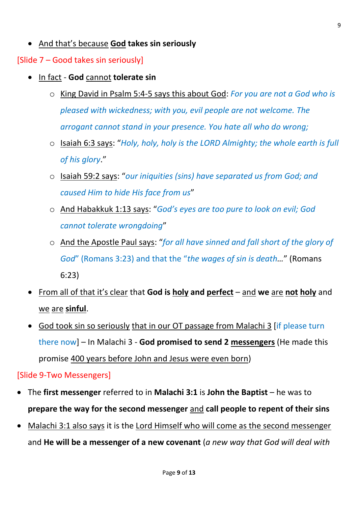• And that's because **God takes sin seriously**

[Slide 7 – Good takes sin seriously]

- In fact **God** cannot **tolerate sin**
	- o King David in Psalm 5:4-5 says this about God: *For you are not a God who is pleased with wickedness; with you, evil people are not welcome. The arrogant cannot stand in your presence. You hate all who do wrong;*
	- o Isaiah 6:3 says: "*Holy, holy, holy is the LORD Almighty; the whole earth is full of his glory*."
	- o Isaiah 59:2 says: "*our iniquities (sins) have separated us from God; and caused Him to hide His face from us*"
	- o And Habakkuk 1:13 says: "*God's eyes are too pure to look on evil; God cannot tolerate wrongdoing*"
	- o And the Apostle Paul says: "*for all have sinned and fall short of the glory of God*" (Romans 3:23) and that the "*the wages of sin is death…*" (Romans 6:23)
- From all of that it's clear that **God is holy and perfect** and **we** are **not holy** and we are **sinful**.
- God took sin so seriously that in our OT passage from Malachi 3 [if please turn there now] – In Malachi 3 - **God promised to send 2 messengers** (He made this promise 400 years before John and Jesus were even born)

[Slide 9-Two Messengers]

- The **first messenger** referred to in **Malachi 3:1** is **John the Baptist** he was to **prepare the way for the second messenger** and **call people to repent of their sins**
- Malachi 3:1 also says it is the Lord Himself who will come as the second messenger and **He will be a messenger of a new covenant** (*a new way that God will deal with*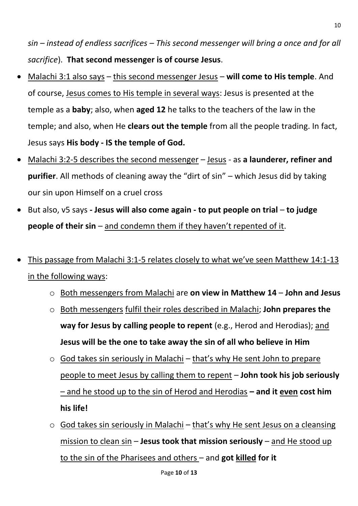*sin – instead of endless sacrifices – This second messenger will bring a once and for all sacrifice*). **That second messenger is of course Jesus**.

- Malachi 3:1 also says this second messenger Jesus **will come to His temple**. And of course, Jesus comes to His temple in several ways: Jesus is presented at the temple as a **baby**; also, when **aged 12** he talks to the teachers of the law in the temple; and also, when He **clears out the temple** from all the people trading. In fact, Jesus says **His body - IS the temple of God.**
- Malachi 3:2-5 describes the second messenger Jesus as **a launderer, refiner and purifier**. All methods of cleaning away the "dirt of sin" – which Jesus did by taking our sin upon Himself on a cruel cross
- But also, v5 says **- Jesus will also come again - to put people on trial to judge people of their sin** – and condemn them if they haven't repented of it.
- This passage from Malachi 3:1-5 relates closely to what we've seen Matthew 14:1-13 in the following ways:
	- o Both messengers from Malachi are **on view in Matthew 14 John and Jesus**
	- o Both messengers fulfil their roles described in Malachi; **John prepares the way for Jesus by calling people to repent** (e.g., Herod and Herodias); and **Jesus will be the one to take away the sin of all who believe in Him**
	- $\circ$  God takes sin seriously in Malachi that's why He sent John to prepare people to meet Jesus by calling them to repent – **John took his job seriously**  – and he stood up to the sin of Herod and Herodias **– and it even cost him his life!**
	- $\circ$  God takes sin seriously in Malachi that's why He sent Jesus on a cleansing mission to clean sin – **Jesus took that mission seriously** – and He stood up to the sin of the Pharisees and others – and **got killed for it**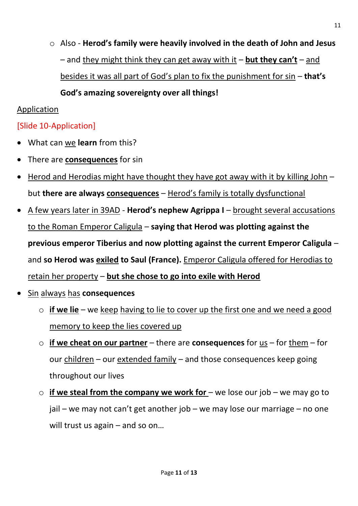$\circ$  Also - **Herod's family were heavily involved in the death of John and Jesus**  $-$  and they might think they can get away with it  $-$  but they can't  $-$  and besides it was all part of God's plan to fix the punishment for sin – **that's** God's amazing sovereignty over all things!

#### Application

### [Slide 10-Application]

- What can we **learn** from this?
- There are **consequences** for sin
- Herod and Herodias might have thought they have got away with it by killing John but **there are always consequences** – Herod's family is totally dysfunctional
- A few years later in 39AD **Herod's nephew Agrippa I** brought several accusations to the Roman Emperor Caligula – **saying that Herod was plotting against the previous emperor Tiberius and now plotting against the current Emperor Caligula** – and **so Herod was exiled to Saul (France).** Emperor Caligula offered for Herodias to retain her property – **but she chose to go into exile with Herod**
- Sin always has **consequences**
	- o **if we lie** we keep having to lie to cover up the first one and we need a good memory to keep the lies covered up
	- o **if we cheat on our partner** there are **consequences** for us for them for our children – our extended family – and those consequences keep going throughout our lives
	- o **if we steal from the company we work for**  we lose our job we may go to jail – we may not can't get another job – we may lose our marriage – no one will trust us again – and so on...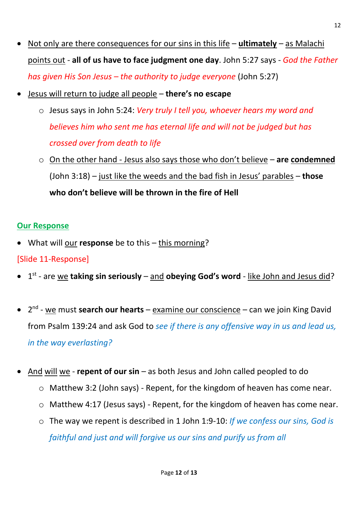- Not only are there consequences for our sins in this life **ultimately** as Malachi points out - **all of us have to face judgment one day**. John 5:27 says - *God the Father has given His Son Jesus – the authority to judge everyone* (John 5:27)
- Jesus will return to judge all people there's no escape
	- o Jesus says in John 5:24: *Very truly I tell you, whoever hears my word and believes him who sent me has eternal life and will not be judged but has crossed over from death to life*
	- o On the other hand Jesus also says those who don't believe **are condemned** (John 3:18) – just like the weeds and the bad fish in Jesus' parables – **those**  who don't believe will be thrown in the fire of Hell

#### **Our Response**

• What will our **response** be to this – this morning?

#### [Slide 11-Response]

- **•** 1<sup>st</sup> are we taking sin seriously and obeying God's word like John and Jesus did?
- 2<sup>nd</sup> we must **search our hearts** examine our conscience can we join King David from Psalm 139:24 and ask God to *see if there is any offensive way in us and lead us, in the way everlasting?*
- And will we **repent of our sin** as both Jesus and John called peopled to do
	- o Matthew 3:2 (John says) Repent, for the kingdom of heaven has come near.
	- o Matthew 4:17 (Jesus says) Repent, for the kingdom of heaven has come near.
	- o The way we repent is described in 1 John 1:9-10: *If we confess our sins, God is faithful and just and will forgive us our sins and purify us from all*